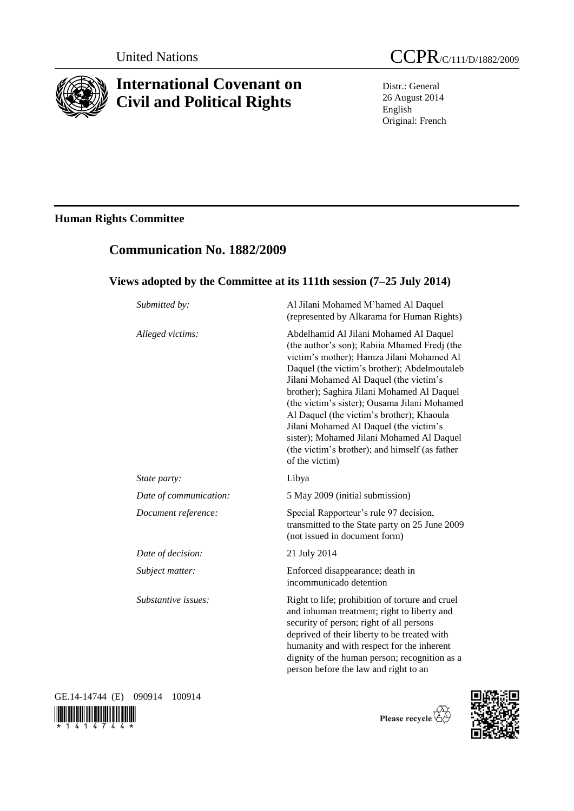

# **International Covenant on Civil and Political Rights**

**Communication No. 1882/2009**

Distr.: General 26 August 2014 English Original: French

# **Human Rights Committee**

| Submitted by:          | Al Jilani Mohamed M'hamed Al Daquel<br>(represented by Alkarama for Human Rights)                                                                                                                                                                                                                                                                                                                                                                                                                                                   |
|------------------------|-------------------------------------------------------------------------------------------------------------------------------------------------------------------------------------------------------------------------------------------------------------------------------------------------------------------------------------------------------------------------------------------------------------------------------------------------------------------------------------------------------------------------------------|
| Alleged victims:       | Abdelhamid Al Jilani Mohamed Al Daquel<br>(the author's son); Rabiia Mhamed Fredj (the<br>victim's mother); Hamza Jilani Mohamed Al<br>Daquel (the victim's brother); Abdelmoutaleb<br>Jilani Mohamed Al Daquel (the victim's<br>brother); Saghira Jilani Mohamed Al Daquel<br>(the victim's sister); Ousama Jilani Mohamed<br>Al Daquel (the victim's brother); Khaoula<br>Jilani Mohamed Al Daquel (the victim's<br>sister); Mohamed Jilani Mohamed Al Daquel<br>(the victim's brother); and himself (as father<br>of the victim) |
| State party:           | Libya                                                                                                                                                                                                                                                                                                                                                                                                                                                                                                                               |
| Date of communication: | 5 May 2009 (initial submission)                                                                                                                                                                                                                                                                                                                                                                                                                                                                                                     |
| Document reference:    | Special Rapporteur's rule 97 decision,<br>transmitted to the State party on 25 June 2009<br>(not issued in document form)                                                                                                                                                                                                                                                                                                                                                                                                           |
| Date of decision:      | 21 July 2014                                                                                                                                                                                                                                                                                                                                                                                                                                                                                                                        |
| Subject matter:        | Enforced disappearance; death in<br>incommunicado detention                                                                                                                                                                                                                                                                                                                                                                                                                                                                         |
| Substantive issues:    | Right to life; prohibition of torture and cruel<br>and inhuman treatment; right to liberty and<br>security of person; right of all persons<br>deprived of their liberty to be treated with<br>humanity and with respect for the inherent<br>dignity of the human person; recognition as a<br>person before the law and right to an                                                                                                                                                                                                  |

GE.14-14744 (E) 090914 100914



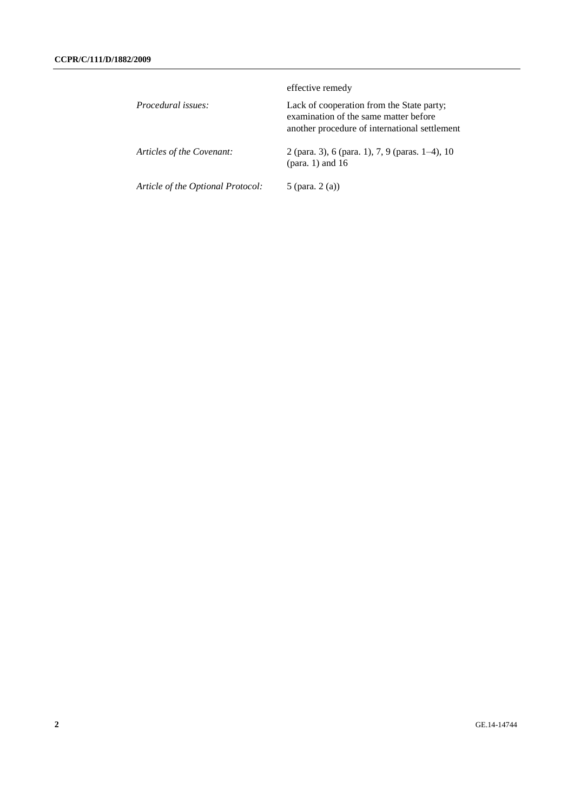|                                   | effective remedy                                                                                                                    |
|-----------------------------------|-------------------------------------------------------------------------------------------------------------------------------------|
| Procedural issues:                | Lack of cooperation from the State party;<br>examination of the same matter before<br>another procedure of international settlement |
| Articles of the Covenant:         | 2 (para. 3), 6 (para. 1), 7, 9 (paras. $1-4$ ), 10<br>(para. 1) and $16$                                                            |
| Article of the Optional Protocol: | 5 (para. $2(a)$ )                                                                                                                   |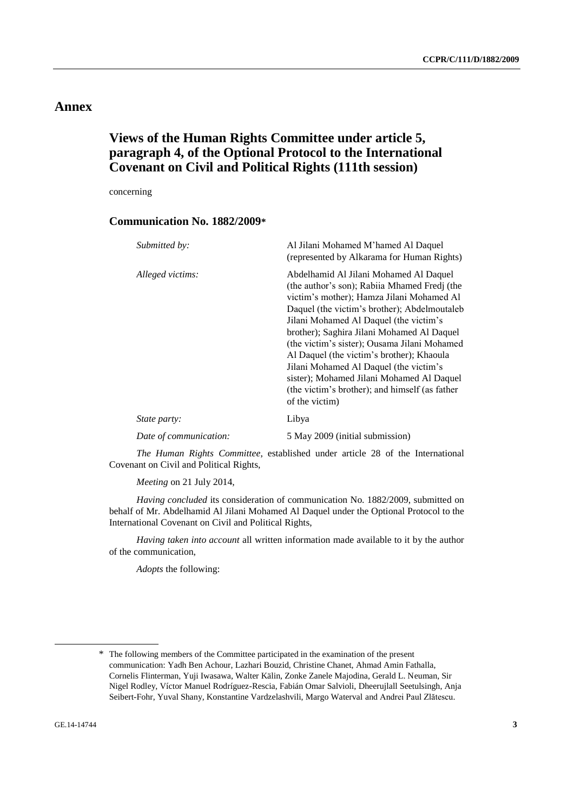## **Annex**

# **Views of the Human Rights Committee under article 5, paragraph 4, of the Optional Protocol to the International Covenant on Civil and Political Rights (111th session)**

concerning

### **Communication No. 1882/2009\***

| Submitted by:          | Al Jilani Mohamed M'hamed Al Daquel<br>(represented by Alkarama for Human Rights)                                                                                                                                                                                                                                                                                                                                                                                                                                                    |
|------------------------|--------------------------------------------------------------------------------------------------------------------------------------------------------------------------------------------------------------------------------------------------------------------------------------------------------------------------------------------------------------------------------------------------------------------------------------------------------------------------------------------------------------------------------------|
| Alleged victims:       | Abdelhamid Al Jilani Mohamed Al Daquel<br>(the author's son); Rabiia Mhamed Fredj (the<br>victim's mother); Hamza Jilani Mohamed Al<br>Daquel (the victim's brother); Abdelmoutaleb<br>Jilani Mohamed Al Daquel (the victim's<br>brother); Saghira Jilani Mohamed Al Daquel<br>(the victim's sister); Ousama Jilani Mohamed<br>Al Daquel (the victim's brother); Khaoula<br>Jilani Mohamed Al Daquel (the victim's<br>sister); Mohamed Jilani Mohamed Al Daquel<br>(the victim's brother); and himself (as father)<br>of the victim) |
| <i>State party:</i>    | Libya                                                                                                                                                                                                                                                                                                                                                                                                                                                                                                                                |
| Date of communication: | 5 May 2009 (initial submission)                                                                                                                                                                                                                                                                                                                                                                                                                                                                                                      |

*The Human Rights Committee*, established under article 28 of the International Covenant on Civil and Political Rights,

*Meeting* on 21 July 2014,

*Having concluded* its consideration of communication No. 1882/2009, submitted on behalf of Mr. Abdelhamid Al Jilani Mohamed Al Daquel under the Optional Protocol to the International Covenant on Civil and Political Rights,

*Having taken into account* all written information made available to it by the author of the communication,

*Adopts* the following:

<sup>\*</sup> The following members of the Committee participated in the examination of the present communication: Yadh Ben Achour, Lazhari Bouzid, Christine Chanet, Ahmad Amin Fathalla, Cornelis Flinterman, Yuji Iwasawa, Walter Kälin, Zonke Zanele Majodina, Gerald L. Neuman, Sir Nigel Rodley, Víctor Manuel Rodríguez-Rescia, Fabián Omar Salvioli, Dheerujlall Seetulsingh, Anja Seibert-Fohr, Yuval Shany, Konstantine Vardzelashvili, Margo Waterval and Andrei Paul Zlătescu.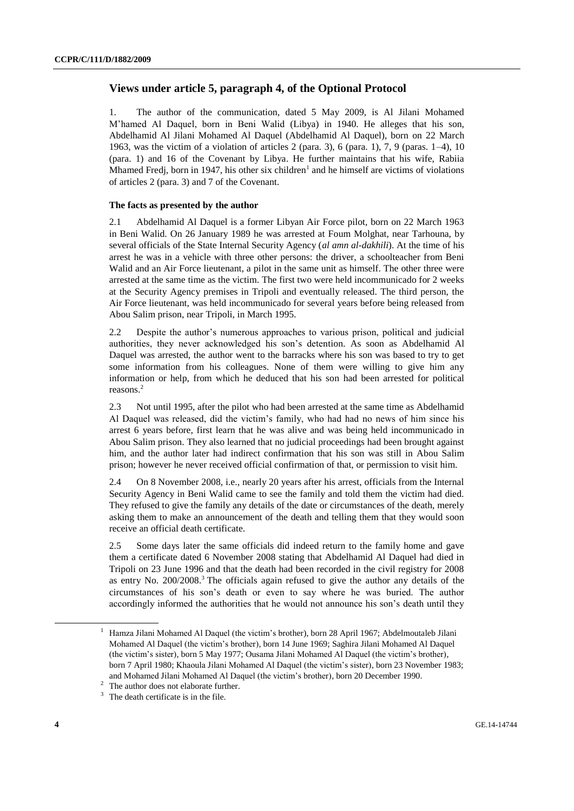### **Views under article 5, paragraph 4, of the Optional Protocol**

1. The author of the communication, dated 5 May 2009, is Al Jilani Mohamed M'hamed Al Daquel, born in Beni Walid (Libya) in 1940. He alleges that his son, Abdelhamid Al Jilani Mohamed Al Daquel (Abdelhamid Al Daquel), born on 22 March 1963, was the victim of a violation of articles 2 (para. 3), 6 (para. 1), 7, 9 (paras. 1–4), 10 (para. 1) and 16 of the Covenant by Libya. He further maintains that his wife, Rabiia Mhamed Fredj, born in 1947, his other six children<sup>1</sup> and he himself are victims of violations of articles 2 (para. 3) and 7 of the Covenant.

#### **The facts as presented by the author**

2.1 Abdelhamid Al Daquel is a former Libyan Air Force pilot, born on 22 March 1963 in Beni Walid. On 26 January 1989 he was arrested at Foum Molghat, near Tarhouna, by several officials of the State Internal Security Agency (*al amn al-dakhili*). At the time of his arrest he was in a vehicle with three other persons: the driver, a schoolteacher from Beni Walid and an Air Force lieutenant, a pilot in the same unit as himself. The other three were arrested at the same time as the victim. The first two were held incommunicado for 2 weeks at the Security Agency premises in Tripoli and eventually released. The third person, the Air Force lieutenant, was held incommunicado for several years before being released from Abou Salim prison, near Tripoli, in March 1995.

2.2 Despite the author's numerous approaches to various prison, political and judicial authorities, they never acknowledged his son's detention. As soon as Abdelhamid Al Daquel was arrested, the author went to the barracks where his son was based to try to get some information from his colleagues. None of them were willing to give him any information or help, from which he deduced that his son had been arrested for political reasons.<sup>2</sup>

2.3 Not until 1995, after the pilot who had been arrested at the same time as Abdelhamid Al Daquel was released, did the victim's family, who had had no news of him since his arrest 6 years before, first learn that he was alive and was being held incommunicado in Abou Salim prison. They also learned that no judicial proceedings had been brought against him, and the author later had indirect confirmation that his son was still in Abou Salim prison; however he never received official confirmation of that, or permission to visit him.

2.4 On 8 November 2008, i.e., nearly 20 years after his arrest, officials from the Internal Security Agency in Beni Walid came to see the family and told them the victim had died. They refused to give the family any details of the date or circumstances of the death, merely asking them to make an announcement of the death and telling them that they would soon receive an official death certificate.

2.5 Some days later the same officials did indeed return to the family home and gave them a certificate dated 6 November 2008 stating that Abdelhamid Al Daquel had died in Tripoli on 23 June 1996 and that the death had been recorded in the civil registry for 2008 as entry No. 200/2008.<sup>3</sup> The officials again refused to give the author any details of the circumstances of his son's death or even to say where he was buried. The author accordingly informed the authorities that he would not announce his son's death until they

<sup>1</sup> Hamza Jilani Mohamed Al Daquel (the victim's brother), born 28 April 1967; Abdelmoutaleb Jilani Mohamed Al Daquel (the victim's brother), born 14 June 1969; Saghira Jilani Mohamed Al Daquel (the victim's sister), born 5 May 1977; Ousama Jilani Mohamed Al Daquel (the victim's brother), born 7 April 1980; Khaoula Jilani Mohamed Al Daquel (the victim's sister), born 23 November 1983; and Mohamed Jilani Mohamed Al Daquel (the victim's brother), born 20 December 1990.

 $2 \text{ The author does not elaborate further.}$ 

 $3$  The death certificate is in the file.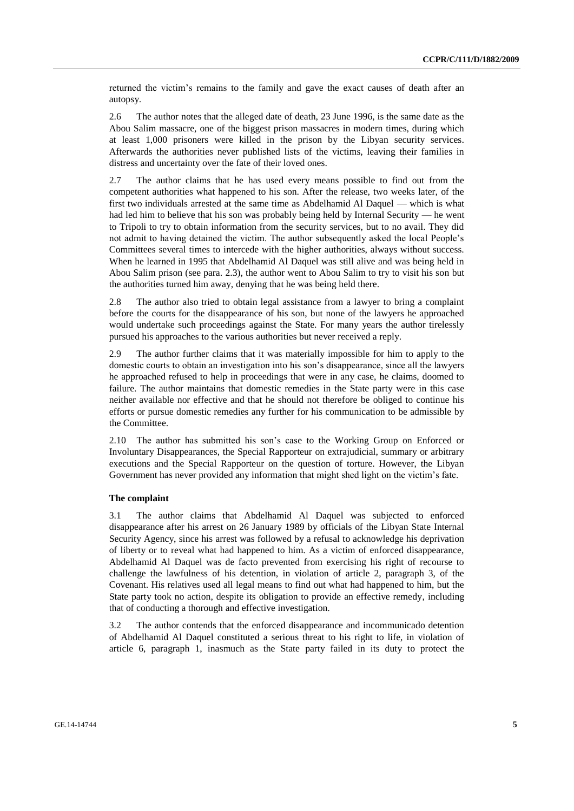returned the victim's remains to the family and gave the exact causes of death after an autopsy.

2.6 The author notes that the alleged date of death, 23 June 1996, is the same date as the Abou Salim massacre, one of the biggest prison massacres in modern times, during which at least 1,000 prisoners were killed in the prison by the Libyan security services. Afterwards the authorities never published lists of the victims, leaving their families in distress and uncertainty over the fate of their loved ones.

2.7 The author claims that he has used every means possible to find out from the competent authorities what happened to his son. After the release, two weeks later, of the first two individuals arrested at the same time as Abdelhamid Al Daquel — which is what had led him to believe that his son was probably being held by Internal Security — he went to Tripoli to try to obtain information from the security services, but to no avail. They did not admit to having detained the victim. The author subsequently asked the local People's Committees several times to intercede with the higher authorities, always without success. When he learned in 1995 that Abdelhamid Al Daquel was still alive and was being held in Abou Salim prison (see para. 2.3), the author went to Abou Salim to try to visit his son but the authorities turned him away, denying that he was being held there.

2.8 The author also tried to obtain legal assistance from a lawyer to bring a complaint before the courts for the disappearance of his son, but none of the lawyers he approached would undertake such proceedings against the State. For many years the author tirelessly pursued his approaches to the various authorities but never received a reply.

2.9 The author further claims that it was materially impossible for him to apply to the domestic courts to obtain an investigation into his son's disappearance, since all the lawyers he approached refused to help in proceedings that were in any case, he claims, doomed to failure. The author maintains that domestic remedies in the State party were in this case neither available nor effective and that he should not therefore be obliged to continue his efforts or pursue domestic remedies any further for his communication to be admissible by the Committee.

2.10 The author has submitted his son's case to the Working Group on Enforced or Involuntary Disappearances, the Special Rapporteur on extrajudicial, summary or arbitrary executions and the Special Rapporteur on the question of torture. However, the Libyan Government has never provided any information that might shed light on the victim's fate.

#### **The complaint**

3.1 The author claims that Abdelhamid Al Daquel was subjected to enforced disappearance after his arrest on 26 January 1989 by officials of the Libyan State Internal Security Agency, since his arrest was followed by a refusal to acknowledge his deprivation of liberty or to reveal what had happened to him. As a victim of enforced disappearance, Abdelhamid Al Daquel was de facto prevented from exercising his right of recourse to challenge the lawfulness of his detention, in violation of article 2, paragraph 3, of the Covenant. His relatives used all legal means to find out what had happened to him, but the State party took no action, despite its obligation to provide an effective remedy, including that of conducting a thorough and effective investigation.

3.2 The author contends that the enforced disappearance and incommunicado detention of Abdelhamid Al Daquel constituted a serious threat to his right to life, in violation of article 6, paragraph 1, inasmuch as the State party failed in its duty to protect the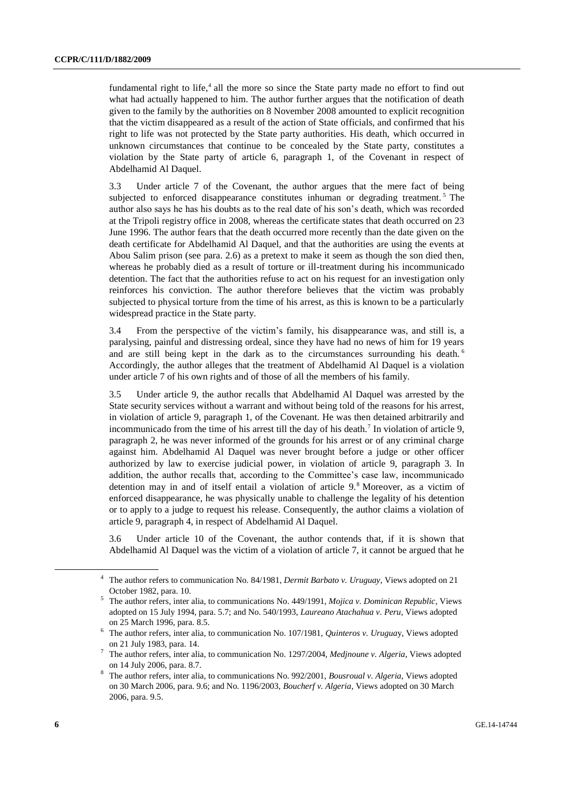fundamental right to life,<sup>4</sup> all the more so since the State party made no effort to find out what had actually happened to him. The author further argues that the notification of death given to the family by the authorities on 8 November 2008 amounted to explicit recognition that the victim disappeared as a result of the action of State officials, and confirmed that his right to life was not protected by the State party authorities. His death, which occurred in unknown circumstances that continue to be concealed by the State party, constitutes a violation by the State party of article 6, paragraph 1, of the Covenant in respect of Abdelhamid Al Daquel.

3.3 Under article 7 of the Covenant, the author argues that the mere fact of being subjected to enforced disappearance constitutes inhuman or degrading treatment.<sup>5</sup> The author also says he has his doubts as to the real date of his son's death, which was recorded at the Tripoli registry office in 2008, whereas the certificate states that death occurred on 23 June 1996. The author fears that the death occurred more recently than the date given on the death certificate for Abdelhamid Al Daquel, and that the authorities are using the events at Abou Salim prison (see para. 2.6) as a pretext to make it seem as though the son died then, whereas he probably died as a result of torture or ill-treatment during his incommunicado detention. The fact that the authorities refuse to act on his request for an investigation only reinforces his conviction. The author therefore believes that the victim was probably subjected to physical torture from the time of his arrest, as this is known to be a particularly widespread practice in the State party.

3.4 From the perspective of the victim's family, his disappearance was, and still is, a paralysing, painful and distressing ordeal, since they have had no news of him for 19 years and are still being kept in the dark as to the circumstances surrounding his death.<sup>6</sup> Accordingly, the author alleges that the treatment of Abdelhamid Al Daquel is a violation under article 7 of his own rights and of those of all the members of his family.

3.5 Under article 9, the author recalls that Abdelhamid Al Daquel was arrested by the State security services without a warrant and without being told of the reasons for his arrest, in violation of article 9, paragraph 1, of the Covenant. He was then detained arbitrarily and incommunicado from the time of his arrest till the day of his death.<sup>7</sup> In violation of article 9, paragraph 2, he was never informed of the grounds for his arrest or of any criminal charge against him. Abdelhamid Al Daquel was never brought before a judge or other officer authorized by law to exercise judicial power, in violation of article 9, paragraph 3. In addition, the author recalls that, according to the Committee's case law, incommunicado detention may in and of itself entail a violation of article 9.<sup>8</sup> Moreover, as a victim of enforced disappearance, he was physically unable to challenge the legality of his detention or to apply to a judge to request his release. Consequently, the author claims a violation of article 9, paragraph 4, in respect of Abdelhamid Al Daquel.

3.6 Under article 10 of the Covenant, the author contends that, if it is shown that Abdelhamid Al Daquel was the victim of a violation of article 7, it cannot be argued that he

<sup>4</sup> The author refers to communication No. 84/1981, *Dermit Barbato v. Uruguay*, Views adopted on 21 October 1982, para. 10.

<sup>5</sup> The author refers, inter alia, to communications No. 449/1991, *Mojica v. Dominican Republic*, Views adopted on 15 July 1994, para. 5.7; and No. 540/1993, *Laureano Atachahua v*. *Peru*, Views adopted on 25 March 1996, para. 8.5.

<sup>6</sup> The author refers, inter alia*,* to communication No. 107/1981, *Quinteros v. Urugua*y, Views adopted on 21 July 1983, para. 14.

<sup>7</sup> The author refers, inter alia*,* to communication No. 1297/2004, *Medjnoune v. Algeria*, Views adopted on 14 July 2006, para. 8.7.

<sup>8</sup> The author refers, inter alia*,* to communications No. 992/2001, *Bousroual v. Algeria*, Views adopted on 30 March 2006, para. 9.6; and No. 1196/2003, *Boucherf v. Algeria*, Views adopted on 30 March 2006, para. 9.5.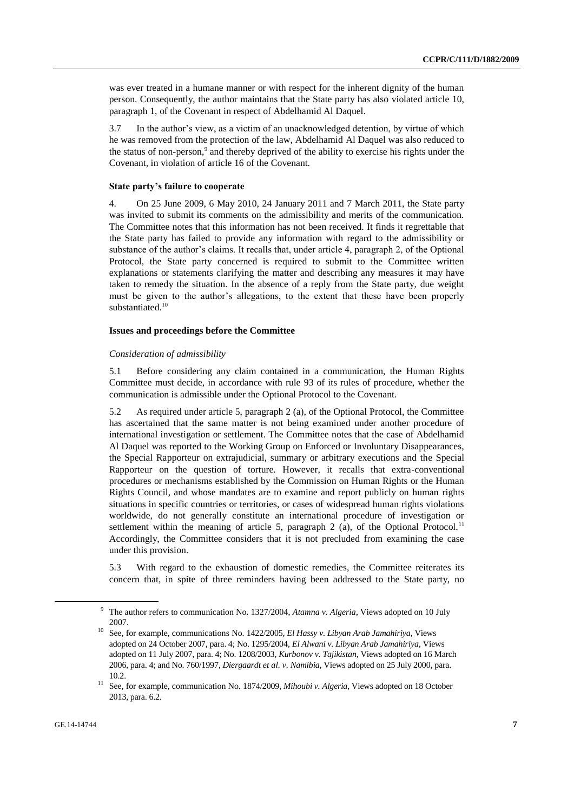was ever treated in a humane manner or with respect for the inherent dignity of the human person. Consequently, the author maintains that the State party has also violated article 10, paragraph 1, of the Covenant in respect of Abdelhamid Al Daquel.

3.7 In the author's view, as a victim of an unacknowledged detention, by virtue of which he was removed from the protection of the law, Abdelhamid Al Daquel was also reduced to the status of non-person,<sup>9</sup> and thereby deprived of the ability to exercise his rights under the Covenant, in violation of article 16 of the Covenant.

#### **State party's failure to cooperate**

4. On 25 June 2009, 6 May 2010, 24 January 2011 and 7 March 2011, the State party was invited to submit its comments on the admissibility and merits of the communication. The Committee notes that this information has not been received. It finds it regrettable that the State party has failed to provide any information with regard to the admissibility or substance of the author's claims. It recalls that, under article 4, paragraph 2, of the Optional Protocol, the State party concerned is required to submit to the Committee written explanations or statements clarifying the matter and describing any measures it may have taken to remedy the situation. In the absence of a reply from the State party, due weight must be given to the author's allegations, to the extent that these have been properly substantiated.<sup>10</sup>

#### **Issues and proceedings before the Committee**

#### *Consideration of admissibility*

5.1 Before considering any claim contained in a communication, the Human Rights Committee must decide, in accordance with rule 93 of its rules of procedure, whether the communication is admissible under the Optional Protocol to the Covenant.

5.2 As required under article 5, paragraph 2 (a), of the Optional Protocol, the Committee has ascertained that the same matter is not being examined under another procedure of international investigation or settlement. The Committee notes that the case of Abdelhamid Al Daquel was reported to the Working Group on Enforced or Involuntary Disappearances, the Special Rapporteur on extrajudicial, summary or arbitrary executions and the Special Rapporteur on the question of torture. However, it recalls that extra-conventional procedures or mechanisms established by the Commission on Human Rights or the Human Rights Council, and whose mandates are to examine and report publicly on human rights situations in specific countries or territories, or cases of widespread human rights violations worldwide, do not generally constitute an international procedure of investigation or settlement within the meaning of article 5, paragraph 2 (a), of the Optional Protocol.<sup>11</sup> Accordingly, the Committee considers that it is not precluded from examining the case under this provision.

5.3 With regard to the exhaustion of domestic remedies, the Committee reiterates its concern that, in spite of three reminders having been addressed to the State party, no

<sup>9</sup> The author refers to communication No. 1327/2004, *Atamna v. Algeria*, Views adopted on 10 July 2007.

<sup>10</sup> See, for example, communications No. 1422/2005, *El Hassy v. Libyan Arab Jamahiriya*, Views adopted on 24 October 2007, para. 4; No. 1295/2004, *El Alwani v. Libyan Arab Jamahiriya*, Views adopted on 11 July 2007, para. 4; No. 1208/2003, *Kurbonov v. Tajikistan*, Views adopted on 16 March 2006, para. 4; and No. 760/1997, *Diergaardt et al. v. Namibia*, Views adopted on 25 July 2000, para. 10.2.

<sup>11</sup> See, for example, communication No. 1874/2009, *Mihoubi v. Algeria*, Views adopted on 18 October 2013, para. 6.2.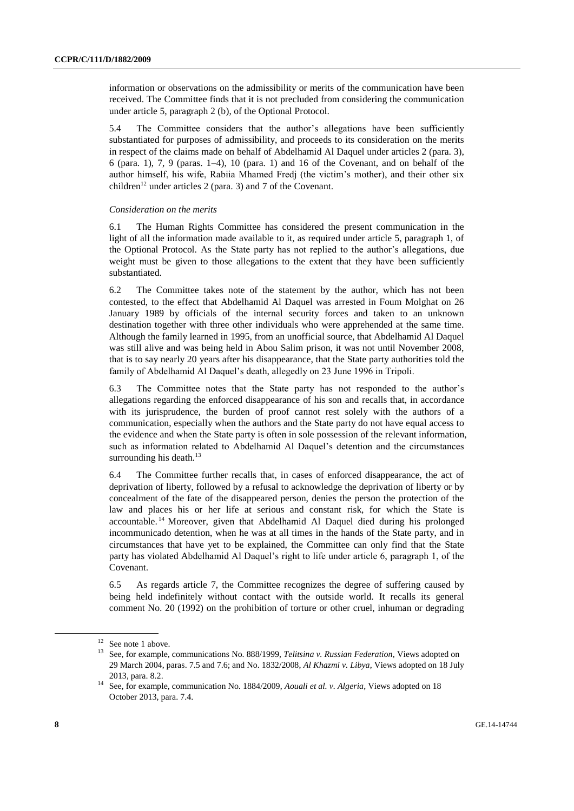information or observations on the admissibility or merits of the communication have been received. The Committee finds that it is not precluded from considering the communication under article 5, paragraph 2 (b), of the Optional Protocol.

5.4 The Committee considers that the author's allegations have been sufficiently substantiated for purposes of admissibility, and proceeds to its consideration on the merits in respect of the claims made on behalf of Abdelhamid Al Daquel under articles 2 (para. 3), 6 (para. 1), 7, 9 (paras. 1–4), 10 (para. 1) and 16 of the Covenant, and on behalf of the author himself, his wife, Rabiia Mhamed Fredj (the victim's mother), and their other six children<sup>12</sup> under articles 2 (para. 3) and 7 of the Covenant.

#### *Consideration on the merits*

6.1 The Human Rights Committee has considered the present communication in the light of all the information made available to it, as required under article 5, paragraph 1, of the Optional Protocol. As the State party has not replied to the author's allegations, due weight must be given to those allegations to the extent that they have been sufficiently substantiated.

6.2 The Committee takes note of the statement by the author, which has not been contested, to the effect that Abdelhamid Al Daquel was arrested in Foum Molghat on 26 January 1989 by officials of the internal security forces and taken to an unknown destination together with three other individuals who were apprehended at the same time. Although the family learned in 1995, from an unofficial source, that Abdelhamid Al Daquel was still alive and was being held in Abou Salim prison, it was not until November 2008, that is to say nearly 20 years after his disappearance, that the State party authorities told the family of Abdelhamid Al Daquel's death, allegedly on 23 June 1996 in Tripoli.

6.3 The Committee notes that the State party has not responded to the author's allegations regarding the enforced disappearance of his son and recalls that, in accordance with its jurisprudence, the burden of proof cannot rest solely with the authors of a communication, especially when the authors and the State party do not have equal access to the evidence and when the State party is often in sole possession of the relevant information, such as information related to Abdelhamid Al Daquel's detention and the circumstances surrounding his death. $13$ 

6.4 The Committee further recalls that, in cases of enforced disappearance, the act of deprivation of liberty, followed by a refusal to acknowledge the deprivation of liberty or by concealment of the fate of the disappeared person, denies the person the protection of the law and places his or her life at serious and constant risk, for which the State is accountable. <sup>14</sup> Moreover, given that Abdelhamid Al Daquel died during his prolonged incommunicado detention, when he was at all times in the hands of the State party, and in circumstances that have yet to be explained, the Committee can only find that the State party has violated Abdelhamid Al Daquel's right to life under article 6, paragraph 1, of the Covenant.

6.5 As regards article 7, the Committee recognizes the degree of suffering caused by being held indefinitely without contact with the outside world. It recalls its general comment No. 20 (1992) on the prohibition of torture or other cruel, inhuman or degrading

<sup>&</sup>lt;sup>12</sup> See note 1 above.

<sup>13</sup> See, for example, communications No. 888/1999, *Telitsina v. Russian Federation*, Views adopted on 29 March 2004, paras. 7.5 and 7.6; and No. 1832/2008, *Al Khazmi v. Libya*, Views adopted on 18 July 2013, para. 8.2.

<sup>14</sup> See, for example, communication No. 1884/2009, *Aouali et al. v. Algeria*, Views adopted on 18 October 2013, para. 7.4.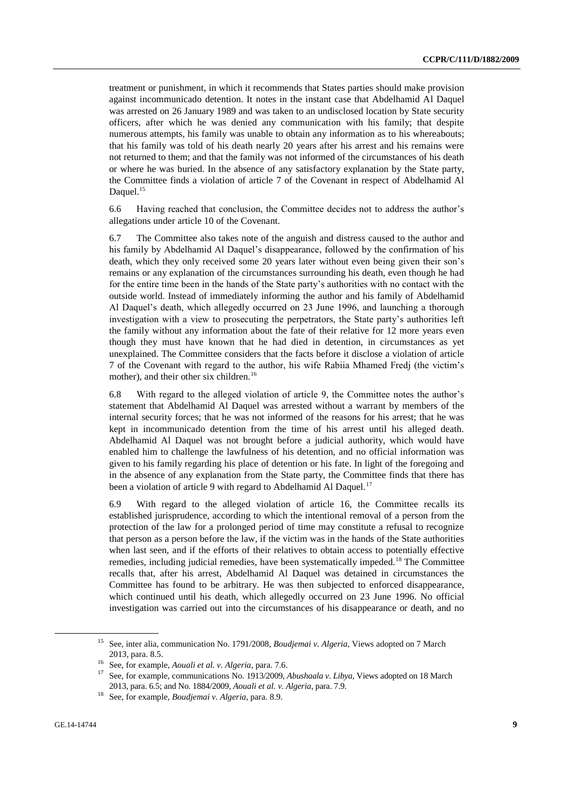treatment or punishment, in which it recommends that States parties should make provision against incommunicado detention. It notes in the instant case that Abdelhamid Al Daquel was arrested on 26 January 1989 and was taken to an undisclosed location by State security officers, after which he was denied any communication with his family; that despite numerous attempts, his family was unable to obtain any information as to his whereabouts; that his family was told of his death nearly 20 years after his arrest and his remains were not returned to them; and that the family was not informed of the circumstances of his death or where he was buried. In the absence of any satisfactory explanation by the State party, the Committee finds a violation of article 7 of the Covenant in respect of Abdelhamid Al Daquel.<sup>15</sup>

6.6 Having reached that conclusion, the Committee decides not to address the author's allegations under article 10 of the Covenant.

6.7 The Committee also takes note of the anguish and distress caused to the author and his family by Abdelhamid Al Daquel's disappearance, followed by the confirmation of his death, which they only received some 20 years later without even being given their son's remains or any explanation of the circumstances surrounding his death, even though he had for the entire time been in the hands of the State party's authorities with no contact with the outside world. Instead of immediately informing the author and his family of Abdelhamid Al Daquel's death, which allegedly occurred on 23 June 1996, and launching a thorough investigation with a view to prosecuting the perpetrators, the State party's authorities left the family without any information about the fate of their relative for 12 more years even though they must have known that he had died in detention, in circumstances as yet unexplained. The Committee considers that the facts before it disclose a violation of article 7 of the Covenant with regard to the author, his wife Rabiia Mhamed Fredj (the victim's mother), and their other six children.<sup>16</sup>

6.8 With regard to the alleged violation of article 9, the Committee notes the author's statement that Abdelhamid Al Daquel was arrested without a warrant by members of the internal security forces; that he was not informed of the reasons for his arrest; that he was kept in incommunicado detention from the time of his arrest until his alleged death. Abdelhamid Al Daquel was not brought before a judicial authority, which would have enabled him to challenge the lawfulness of his detention, and no official information was given to his family regarding his place of detention or his fate. In light of the foregoing and in the absence of any explanation from the State party, the Committee finds that there has been a violation of article 9 with regard to Abdelhamid Al Daquel.<sup>17</sup>

6.9 With regard to the alleged violation of article 16, the Committee recalls its established jurisprudence, according to which the intentional removal of a person from the protection of the law for a prolonged period of time may constitute a refusal to recognize that person as a person before the law, if the victim was in the hands of the State authorities when last seen, and if the efforts of their relatives to obtain access to potentially effective remedies, including judicial remedies, have been systematically impeded.<sup>18</sup> The Committee recalls that, after his arrest, Abdelhamid Al Daquel was detained in circumstances the Committee has found to be arbitrary. He was then subjected to enforced disappearance, which continued until his death, which allegedly occurred on 23 June 1996. No official investigation was carried out into the circumstances of his disappearance or death, and no

<sup>15</sup> See, inter alia, communication No. 1791/2008, *Boudjemai v. Algeria*, Views adopted on 7 March 2013, para. 8.5.

<sup>16</sup> See, for example, *Aouali et al. v. Algeria*, para. 7.6.

<sup>17</sup> See, for example, communications No. 1913/2009, *Abushaala v. Libya*, Views adopted on 18 March 2013, para. 6.5; and No. 1884/2009, *Aouali et al. v. Algeria*, para. 7.9.

<sup>18</sup> See, for example, *Boudjemai v. Algeria*, para. 8.9.